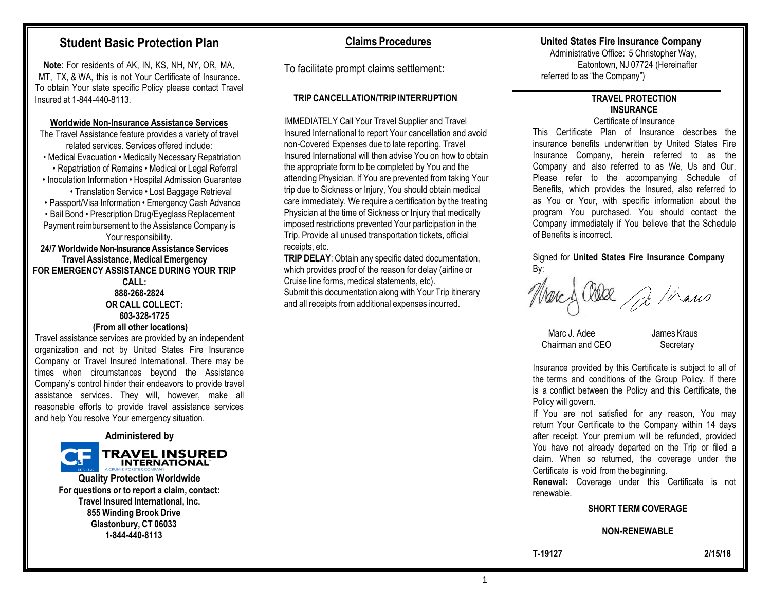# **Student Basic Protection Plan**

**Note**: For residents of AK, IN, KS, NH, NY, OR, MA, MT, TX, & WA, this is not Your Certificate of Insurance. To obtain Your state specific Policy please contact Travel Insured at 1-844-440-8113.

#### **Worldwide Non-Insurance Assistance Services**

The Travel Assistance feature provides a variety of travel related services. Services offered include:

• Medical Evacuation • Medically Necessary Repatriation • Repatriation of Remains • Medical or Legal Referral • Inoculation Information • Hospital Admission Guarantee

• Translation Service • Lost Baggage Retrieval

• Passport/Visa Information • Emergency Cash Advance

• Bail Bond • Prescription Drug/Eyeglass Replacement Payment reimbursement to the Assistance Company is Your responsibility.

**24/7 Worldwide Non-Insurance Assistance Services Travel Assistance,Medical Emergency FOR EMERGENCY ASSISTANCE DURING YOUR TRIP** 

> **CALL: 888-268-2824 OR CALL COLLECT: 603-328-1725**

# **(From all other locations)**

Travel assistance services are provided by an independent organization and not by United States Fire Insurance Company or Travel Insured International. There may be times when circumstances beyond the Assistance Company's control hinder their endeavors to provide travel assistance services. They will, however, make all reasonable efforts to provide travel assistance services and help You resolve Your emergency situation.

**Administered by**



**Quality Protection Worldwide For questions or to report a claim, contact: Travel Insured International, Inc. 855 Winding Brook Drive Glastonbury, CT 06033 1-844-440-8113**

# **Claims Procedures**

To facilitate prompt claims settlement**:**

# **TRIPCANCELLATION/TRIP INTERRUPTION**

IMMEDIATELY Call Your Travel Supplier and Travel Insured International to report Your cancellation and avoid non-Covered Expenses due to late reporting. Travel Insured International will then advise You on how to obtain the appropriate form to be completed by You and the attending Physician. If You are prevented from taking Your trip due to Sickness or Injury, You should obtain medical care immediately. We require a certification by the treating Physician at the time of Sickness or Injury that medically imposed restrictions prevented Your participation in the Trip. Provide all unused transportation tickets, official receipts, etc.

**TRIP DELAY**: Obtain any specific dated documentation, which provides proof of the reason for delay (airline or Cruise line forms, medical statements, etc). Submit this documentation along with Your Trip itinerary and all receipts from additional expenses incurred.

# **United States Fire Insurance Company**

Administrative Office: 5 Christopher Way, Eatontown, NJ 07724 (Hereinafter referred to as "the Company")

#### **TRAVEL PROTECTION INSURANCE** Certificate of Insurance

This Certificate Plan of Insurance describes the insurance benefits underwritten by United States Fire Insurance Company, herein referred to as the Company and also referred to as We, Us and Our. Please refer to the accompanying Schedule of Benefits, which provides the Insured, also referred to as You or Your, with specific information about the program You purchased. You should contact the Company immediately if You believe that the Schedule of Benefits is incorrect.

Signed for **United States Fire Insurance Company** By:

lea p/hans

Marc J. Adee James Kraus Chairman and CEO Secretary

Insurance provided by this Certificate is subject to all of the terms and conditions of the Group Policy. If there is a conflict between the Policy and this Certificate, the Policy will govern.

If You are not satisfied for any reason, You may return Your Certificate to the Company within 14 days after receipt. Your premium will be refunded, provided You have not already departed on the Trip or filed a claim. When so returned, the coverage under the Certificate is void from the beginning.

**Renewal:** Coverage under this Certificate is not renewable.

#### **SHORT TERM COVERAGE**

#### **NON-RENEWABLE**

1

**T-19127 2/15/18**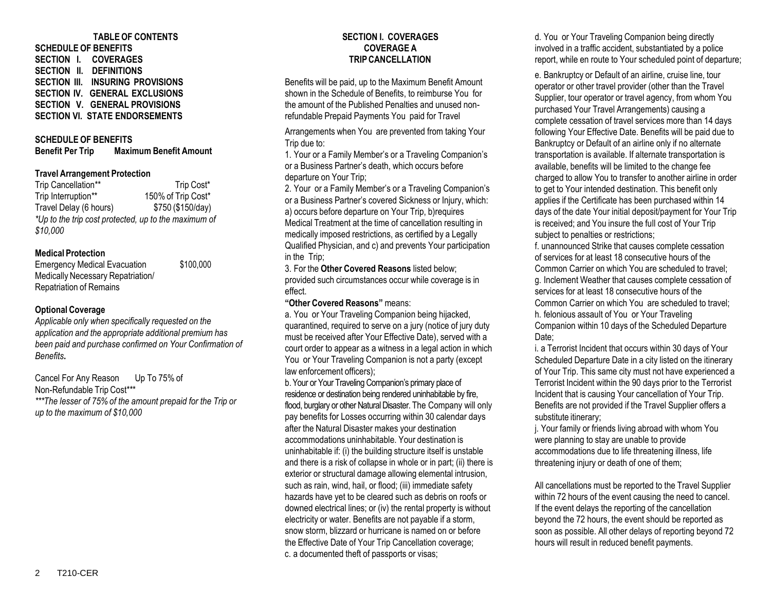# **TABLE OF CONTENTS**

**SCHEDULE OF BENEFITS SECTION I. COVERAGES SECTION II. DEFINITIONS SECTION III. INSURING PROVISIONS SECTION IV. GENERAL EXCLUSIONS SECTION V. GENERAL PROVISIONS SECTION VI. STATE ENDORSEMENTS**

# **SCHEDULE OF BENEFITS Benefit Per Trip Maximum Benefit Amount**

#### **Travel Arrangement Protection**

Trip Cancellation\*\* Trip Cost\* Trip Interruption\*\* 150% of Trip Cost\* Travel Delay (6 hours) \$750 (\$150/day) *\*Up to the trip cost protected, up to the maximum of \$10,000*

#### **Medical Protection**

Emergency Medical Evacuation \$100,000 Medically Necessary Repatriation/ Repatriation of Remains

# **Optional Coverage**

*Applicable only when specifically requested on the application and the appropriate additional premium has been paid and purchase confirmed on Your Confirmation of Benefits***.**

Cancel For Any Reason Up To 75% of Non-Refundable Trip Cost\*\*\* *\*\*\*The lesser of 75% of the amount prepaid for the Trip or up to the maximum of \$10,000*

#### **SECTION I. COVERAGES COVERAGE A TRIPCANCELLATION**

Benefits will be paid, up to the Maximum Benefit Amount shown in the Schedule of Benefits, to reimburse You for the amount of the Published Penalties and unused nonrefundable Prepaid Payments You paid for Travel

Arrangements when You are prevented from taking Your Trip due to:

1. Your or a Family Member's or a Traveling Companion's or a Business Partner's death, which occurs before departure on Your Trip;

2. Your or a Family Member's or a Traveling Companion's or a Business Partner's covered Sickness or Injury, which: a) occurs before departure on Your Trip, b)requires Medical Treatment at the time of cancellation resulting in medically imposed restrictions, as certified by a Legally Qualified Physician, and c) and prevents Your participation in the Trip;

3. For the **Other Covered Reasons** listed below; provided such circumstances occur while coverage is in effect.

**"Other Covered Reasons"** means:

a. You or Your Traveling Companion being hijacked, quarantined, required to serve on a jury (notice of jury duty must be received after Your Effective Date), served with a court order to appear as a witness in a legal action in which You or Your Traveling Companion is not a party (except law enforcement officers);

b.Your or Your Traveling Companion's primary place of residence or destination being rendered uninhabitable by fire, flood, burglary or other Natural Disaster. The Company will only pay benefits for Losses occurring within 30 calendar days after the Natural Disaster makes your destination accommodations uninhabitable. Your destination is uninhabitable if: (i) the building structure itself is unstable and there is a risk of collapse in whole or in part; (ii) there is exterior or structural damage allowing elemental intrusion, such as rain, wind, hail, or flood; (iii) immediate safety hazards have yet to be cleared such as debris on roofs or downed electrical lines; or (iv) the rental property is without electricity or water. Benefits are not payable if a storm, snow storm, blizzard or hurricane is named on or before the Effective Date of Your Trip Cancellation coverage; c. a documented theft of passports or visas;

d. You or Your Traveling Companion being directly involved in a traffic accident, substantiated by a police report, while en route to Your scheduled point of departure;

e. Bankruptcy or Default of an airline, cruise line, tour operator or other travel provider (other than the Travel Supplier, tour operator or travel agency, from whom You purchased Your Travel Arrangements) causing a complete cessation of travel services more than 14 days following Your Effective Date. Benefits will be paid due to Bankruptcy or Default of an airline only if no alternate transportation is available. If alternate transportation is available, benefits will be limited to the change fee charged to allow You to transfer to another airline in order to get to Your intended destination. This benefit only applies if the Certificate has been purchased within 14 days of the date Your initial deposit/payment for Your Trip is received; and You insure the full cost of Your Trip subject to penalties or restrictions;

f. unannounced Strike that causes complete cessation of services for at least 18 consecutive hours of the Common Carrier on which You are scheduled to travel; g. Inclement Weather that causes complete cessation of services for at least 18 consecutive hours of the Common Carrier on which You are scheduled to travel; h. felonious assault of You or Your Traveling Companion within 10 days of the Scheduled Departure Date:

i. a Terrorist Incident that occurs within 30 days of Your Scheduled Departure Date in a city listed on the itinerary of Your Trip. This same city must not have experienced a Terrorist Incident within the 90 days prior to the Terrorist Incident that is causing Your cancellation of Your Trip. Benefits are not provided if the Travel Supplier offers a substitute itinerary;

j. Your family or friends living abroad with whom You were planning to stay are unable to provide accommodations due to life threatening illness, life threatening injury or death of one of them;

All cancellations must be reported to the Travel Supplier within 72 hours of the event causing the need to cancel. If the event delays the reporting of the cancellation beyond the 72 hours, the event should be reported as soon as possible. All other delays of reporting beyond 72 hours will result in reduced benefit payments.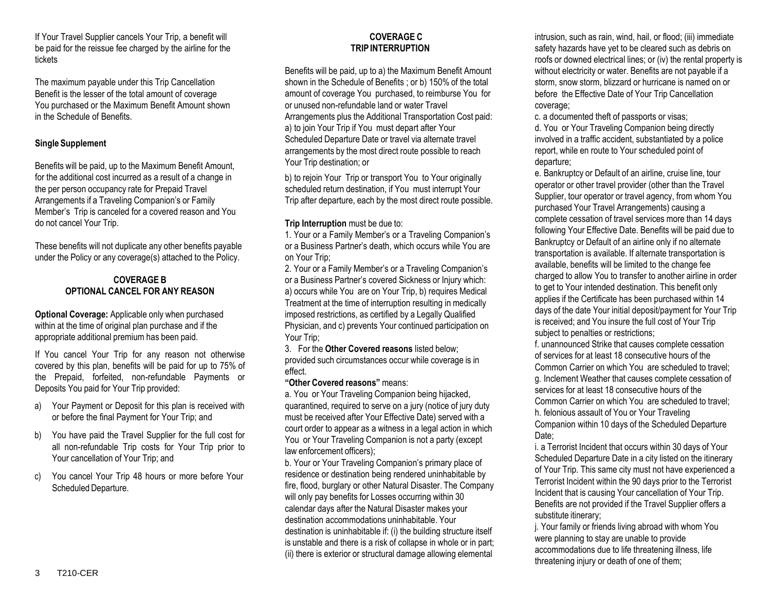If Your Travel Supplier cancels Your Trip, a benefit will be paid for the reissue fee charged by the airline for the tickets

The maximum payable under this Trip Cancellation Benefit is the lesser of the total amount of coverage You purchased or the Maximum Benefit Amount shown in the Schedule of Benefits.

# **Single Supplement**

Benefits will be paid, up to the Maximum Benefit Amount, for the additional cost incurred as a result of a change in the per person occupancy rate for Prepaid Travel Arrangements if a Traveling Companion's or Family Member's Trip is canceled for a covered reason and You do not cancel Your Trip.

These benefits will not duplicate any other benefits payable under the Policy or any coverage(s) attached to the Policy.

# **COVERAGE B OPTIONAL CANCEL FOR ANY REASON**

**Optional Coverage:** Applicable only when purchased within at the time of original plan purchase and if the appropriate additional premium has been paid.

If You cancel Your Trip for any reason not otherwise covered by this plan, benefits will be paid for up to 75% of the Prepaid, forfeited, non-refundable Payments or Deposits You paid for Your Trip provided:

- a) Your Payment or Deposit for this plan is received with or before the final Payment for Your Trip; and
- b) You have paid the Travel Supplier for the full cost for all non-refundable Trip costs for Your Trip prior to Your cancellation of Your Trip; and
- c) You cancel Your Trip 48 hours or more before Your Scheduled Departure.

### **COVERAGE C TRIPINTERRUPTION**

Benefits will be paid, up to a) the Maximum Benefit Amount shown in the Schedule of Benefits ; or b) 150% of the total amount of coverage You purchased, to reimburse You for or unused non-refundable land or water Travel Arrangements plus the Additional Transportation Cost paid: a) to join Your Trip if You must depart after Your Scheduled Departure Date or travel via alternate travel arrangements by the most direct route possible to reach Your Trip destination; or

b) to rejoin Your Trip or transport You to Your originally scheduled return destination, if You must interrupt Your Trip after departure, each by the most direct route possible.

#### **Trip Interruption** must be due to:

1. Your or a Family Member's or a Traveling Companion's or a Business Partner's death, which occurs while You are on Your Trip;

2. Your or a Family Member's or a Traveling Companion's or a Business Partner's covered Sickness or Injury which: a) occurs while You are on Your Trip, b) requires Medical Treatment at the time of interruption resulting in medically imposed restrictions, as certified by a Legally Qualified Physician, and c) prevents Your continued participation on Your Trip;

3. For the **Other Covered reasons** listed below; provided such circumstances occur while coverage is in effect.

#### **"Other Covered reasons"** means:

a. You or Your Traveling Companion being hijacked, quarantined, required to serve on a jury (notice of jury duty must be received after Your Effective Date) served with a court order to appear as a witness in a legal action in which You or Your Traveling Companion is not a party (except law enforcement officers);

b. Your or Your Traveling Companion's primary place of residence or destination being rendered uninhabitable by fire, flood, burglary or other Natural Disaster. The Company will only pay benefits for Losses occurring within 30 calendar days after the Natural Disaster makes your destination accommodations uninhabitable. Your destination is uninhabitable if: (i) the building structure itself is unstable and there is a risk of collapse in whole or in part; (ii) there is exterior or structural damage allowing elemental

intrusion, such as rain, wind, hail, or flood; (iii) immediate safety hazards have yet to be cleared such as debris on roofs or downed electrical lines; or (iv) the rental property is without electricity or water. Benefits are not payable if a storm, snow storm, blizzard or hurricane is named on or before the Effective Date of Your Trip Cancellation coverage;

c. a documented theft of passports or visas;

d. You or Your Traveling Companion being directly involved in a traffic accident, substantiated by a police report, while en route to Your scheduled point of departure;

e. Bankruptcy or Default of an airline, cruise line, tour operator or other travel provider (other than the Travel Supplier, tour operator or travel agency, from whom You purchased Your Travel Arrangements) causing a complete cessation of travel services more than 14 days following Your Effective Date. Benefits will be paid due to Bankruptcy or Default of an airline only if no alternate transportation is available. If alternate transportation is available, benefits will be limited to the change fee charged to allow You to transfer to another airline in order to get to Your intended destination. This benefit only applies if the Certificate has been purchased within 14 days of the date Your initial deposit/payment for Your Trip is received; and You insure the full cost of Your Trip subject to penalties or restrictions;

f. unannounced Strike that causes complete cessation of services for at least 18 consecutive hours of the Common Carrier on which You are scheduled to travel; g. Inclement Weather that causes complete cessation of services for at least 18 consecutive hours of the Common Carrier on which You are scheduled to travel; h. felonious assault of You or Your Traveling Companion within 10 days of the Scheduled Departure Date:

i. a Terrorist Incident that occurs within 30 days of Your Scheduled Departure Date in a city listed on the itinerary of Your Trip. This same city must not have experienced a Terrorist Incident within the 90 days prior to the Terrorist Incident that is causing Your cancellation of Your Trip. Benefits are not provided if the Travel Supplier offers a substitute itinerary;

j. Your family or friends living abroad with whom You were planning to stay are unable to provide accommodations due to life threatening illness, life threatening injury or death of one of them;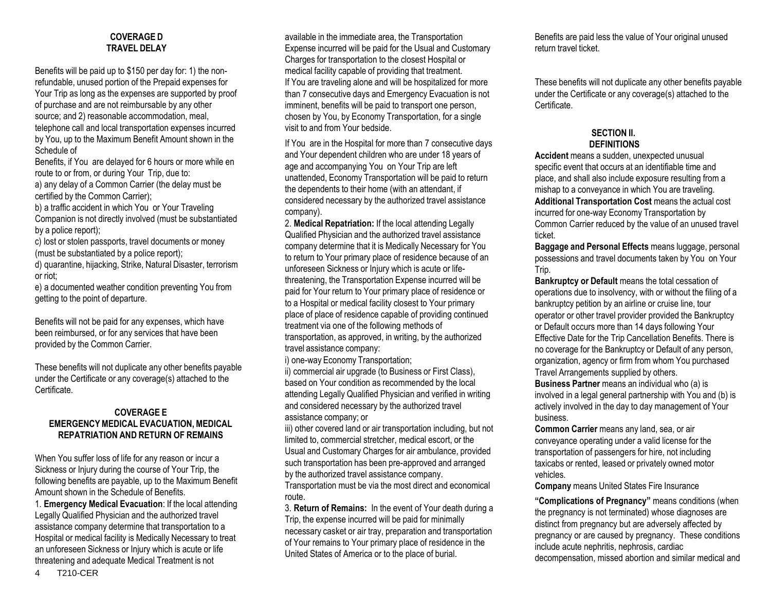# **COVERAGE D TRAVEL DELAY**

Benefits will be paid up to \$150 per day for: 1) the nonrefundable, unused portion of the Prepaid expenses for Your Trip as long as the expenses are supported by proof of purchase and are not reimbursable by any other source; and 2) reasonable accommodation, meal, telephone call and local transportation expenses incurred by You, up to the Maximum Benefit Amount shown in the Schedule of

Benefits, if You are delayed for 6 hours or more while en route to or from, or during Your Trip, due to: a) any delay of a Common Carrier (the delay must be certified by the Common Carrier);

b) a traffic accident in which You or Your Traveling Companion is not directly involved (must be substantiated by a police report);

c) lost or stolen passports, travel documents or money (must be substantiated by a police report);

d) quarantine, hijacking, Strike, Natural Disaster, terrorism or riot;

e) a documented weather condition preventing You from getting to the point of departure.

Benefits will not be paid for any expenses, which have been reimbursed, or for any services that have been provided by the Common Carrier.

These benefits will not duplicate any other benefits payable under the Certificate or any coverage(s) attached to the Certificate.

# **COVERAGE E EMERGENCY MEDICAL EVACUATION, MEDICAL REPATRIATION AND RETURN OF REMAINS**

When You suffer loss of life for any reason or incur a Sickness or Injury during the course of Your Trip, the following benefits are payable, up to the Maximum Benefit Amount shown in the Schedule of Benefits.

1. **Emergency Medical Evacuation**: If the local attending Legally Qualified Physician and the authorized travel assistance company determine that transportation to a Hospital or medical facility is Medically Necessary to treat an unforeseen Sickness or Injury which is acute or life threatening and adequate Medical Treatment is not

available in the immediate area, the Transportation Expense incurred will be paid for the Usual and Customary Charges for transportation to the closest Hospital or medical facility capable of providing that treatment. If You are traveling alone and will be hospitalized for more than 7 consecutive days and Emergency Evacuation is not imminent, benefits will be paid to transport one person, chosen by You, by Economy Transportation, for a single visit to and from Your bedside.

If You are in the Hospital for more than 7 consecutive days and Your dependent children who are under 18 years of age and accompanying You on Your Trip are left unattended, Economy Transportation will be paid to return the dependents to their home (with an attendant, if considered necessary by the authorized travel assistance company).

2. **Medical Repatriation:** If the local attending Legally Qualified Physician and the authorized travel assistance company determine that it is Medically Necessary for You to return to Your primary place of residence because of an unforeseen Sickness or Injury which is acute or lifethreatening, the Transportation Expense incurred will be paid for Your return to Your primary place of residence or to a Hospital or medical facility closest to Your primary place of place of residence capable of providing continued treatment via one of the following methods of transportation, as approved, in writing, by the authorized travel assistance company:

i) one-way Economy Transportation;

ii) commercial air upgrade (to Business or First Class), based on Your condition as recommended by the local attending Legally Qualified Physician and verified in writing and considered necessary by the authorized travel assistance company; or

iii) other covered land or air transportation including, but not limited to, commercial stretcher, medical escort, or the Usual and Customary Charges for air ambulance, provided such transportation has been pre-approved and arranged by the authorized travel assistance company.

Transportation must be via the most direct and economical route.

3. **Return of Remains:** In the event of Your death during a Trip, the expense incurred will be paid for minimally necessary casket or air tray, preparation and transportation of Your remains to Your primary place of residence in the United States of America or to the place of burial.

Benefits are paid less the value of Your original unused return travel ticket.

These benefits will not duplicate any other benefits payable under the Certificate or any coverage(s) attached to the Certificate.

# **SECTION II. DEFINITIONS**

**Accident** means a sudden, unexpected unusual specific event that occurs at an identifiable time and place, and shall also include exposure resulting from a mishap to a conveyance in which You are traveling. **Additional Transportation Cost** means the actual cost incurred for one-way Economy Transportation by Common Carrier reduced by the value of an unused travel ticket.

**Baggage and Personal Effects** means luggage, personal possessions and travel documents taken by You on Your Trip.

**Bankruptcy or Default** means the total cessation of operations due to insolvency, with or without the filing of a bankruptcy petition by an airline or cruise line, tour operator or other travel provider provided the Bankruptcy or Default occurs more than 14 days following Your Effective Date for the Trip Cancellation Benefits. There is no coverage for the Bankruptcy or Default of any person, organization, agency or firm from whom You purchased Travel Arrangements supplied by others.

**Business Partner** means an individual who (a) is involved in a legal general partnership with You and (b) is actively involved in the day to day management of Your business.

**Common Carrier** means any land, sea, or air conveyance operating under a valid license for the transportation of passengers for hire, not including taxicabs or rented, leased or privately owned motor vehicles.

**Company** means United States Fire Insurance

**"Complications of Pregnancy"** means conditions (when the pregnancy is not terminated) whose diagnoses are distinct from pregnancy but are adversely affected by pregnancy or are caused by pregnancy. These conditions include acute nephritis, nephrosis, cardiac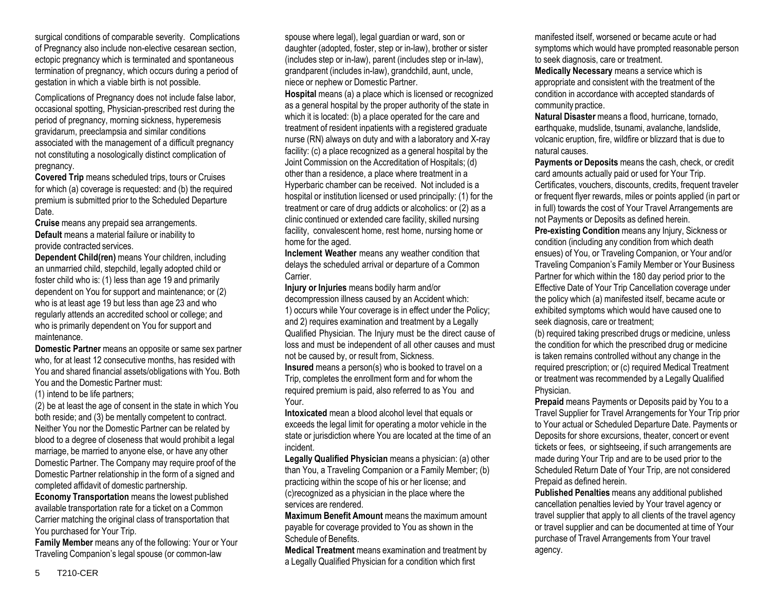surgical conditions of comparable severity. Complications of Pregnancy also include non-elective cesarean section, ectopic pregnancy which is terminated and spontaneous termination of pregnancy, which occurs during a period of gestation in which a viable birth is not possible.

Complications of Pregnancy does not include false labor, occasional spotting, Physician-prescribed rest during the period of pregnancy, morning sickness, hyperemesis gravidarum, preeclampsia and similar conditions associated with the management of a difficult pregnancy not constituting a nosologically distinct complication of pregnancy.

**Covered Trip** means scheduled trips, tours or Cruises for which (a) coverage is requested: and (b) the required premium is submitted prior to the Scheduled Departure Date.

**Cruise** means any prepaid sea arrangements. **Default** means a material failure or inability to provide contracted services.

**Dependent Child(ren)** means Your children, including an unmarried child, stepchild, legally adopted child or foster child who is: (1) less than age 19 and primarily dependent on You for support and maintenance; or (2) who is at least age 19 but less than age 23 and who regularly attends an accredited school or college; and who is primarily dependent on You for support and maintenance.

**Domestic Partner** means an opposite or same sex partner who, for at least 12 consecutive months, has resided with You and shared financial assets/obligations with You. Both You and the Domestic Partner must:

(1) intend to be life partners;

(2) be at least the age of consent in the state in which You both reside; and (3) be mentally competent to contract. Neither You nor the Domestic Partner can be related by blood to a degree of closeness that would prohibit a legal marriage, be married to anyone else, or have any other Domestic Partner. The Company may require proof of the Domestic Partner relationship in the form of a signed and completed affidavit of domestic partnership.

**Economy Transportation** means the lowest published available transportation rate for a ticket on a Common Carrier matching the original class of transportation that You purchased for Your Trip.

**Family Member** means any of the following: Your or Your Traveling Companion's legal spouse (or common-law

spouse where legal), legal guardian or ward, son or daughter (adopted, foster, step or in-law), brother or sister (includes step or in-law), parent (includes step or in-law), grandparent (includes in-law), grandchild, aunt, uncle, niece or nephew or Domestic Partner.

**Hospital** means (a) a place which is licensed or recognized as a general hospital by the proper authority of the state in which it is located: (b) a place operated for the care and treatment of resident inpatients with a registered graduate nurse (RN) always on duty and with a laboratory and X-ray facility: (c) a place recognized as a general hospital by the Joint Commission on the Accreditation of Hospitals; (d) other than a residence, a place where treatment in a Hyperbaric chamber can be received. Not included is a hospital or institution licensed or used principally: (1) for the treatment or care of drug addicts or alcoholics: or (2) as a clinic continued or extended care facility, skilled nursing facility, convalescent home, rest home, nursing home or home for the aged.

**Inclement Weather** means any weather condition that delays the scheduled arrival or departure of a Common Carrier.

**Injury or Injuries** means bodily harm and/or decompression illness caused by an Accident which: 1) occurs while Your coverage is in effect under the Policy; and 2) requires examination and treatment by a Legally Qualified Physician. The Injury must be the direct cause of loss and must be independent of all other causes and must not be caused by, or result from, Sickness. **Insured** means a person(s) who is booked to travel on a Trip, completes the enrollment form and for whom the required premium is paid, also referred to as You and Your.

**Intoxicated** mean a blood alcohol level that equals or exceeds the legal limit for operating a motor vehicle in the state or jurisdiction where You are located at the time of an incident.

**Legally Qualified Physician** means a physician: (a) other than You, a Traveling Companion or a Family Member; (b) practicing within the scope of his or her license; and (c)recognized as a physician in the place where the services are rendered.

**Maximum Benefit Amount** means the maximum amount payable for coverage provided to You as shown in the Schedule of Benefits.

**Medical Treatment** means examination and treatment by a Legally Qualified Physician for a condition which first

manifested itself, worsened or became acute or had symptoms which would have prompted reasonable person to seek diagnosis, care or treatment.

**Medically Necessary** means a service which is appropriate and consistent with the treatment of the condition in accordance with accepted standards of community practice.

**Natural Disaster** means a flood, hurricane, tornado, earthquake, mudslide, tsunami, avalanche, landslide, volcanic eruption, fire, wildfire or blizzard that is due to natural causes.

**Payments or Deposits** means the cash, check, or credit card amounts actually paid or used for Your Trip. Certificates, vouchers, discounts, credits, frequent traveler or frequent flyer rewards, miles or points applied (in part or in full) towards the cost of Your Travel Arrangements are not Payments or Deposits as defined herein.

**Pre-existing Condition** means any Injury, Sickness or condition (including any condition from which death ensues) of You, or Traveling Companion, or Your and/or Traveling Companion's Family Member or Your Business Partner for which within the 180 day period prior to the Effective Date of Your Trip Cancellation coverage under the policy which (a) manifested itself, became acute or exhibited symptoms which would have caused one to seek diagnosis, care or treatment;

(b) required taking prescribed drugs or medicine, unless the condition for which the prescribed drug or medicine is taken remains controlled without any change in the required prescription; or (c) required Medical Treatment or treatment was recommended by a Legally Qualified Physician.

**Prepaid** means Payments or Deposits paid by You to a Travel Supplier for Travel Arrangements for Your Trip prior to Your actual or Scheduled Departure Date. Payments or Deposits for shore excursions, theater, concert or event tickets or fees, or sightseeing, if such arrangements are made during Your Trip and are to be used prior to the Scheduled Return Date of Your Trip, are not considered Prepaid as defined herein.

**Published Penalties** means any additional published cancellation penalties levied by Your travel agency or travel supplier that apply to all clients of the travel agency or travel supplier and can be documented at time of Your purchase of Travel Arrangements from Your travel agency.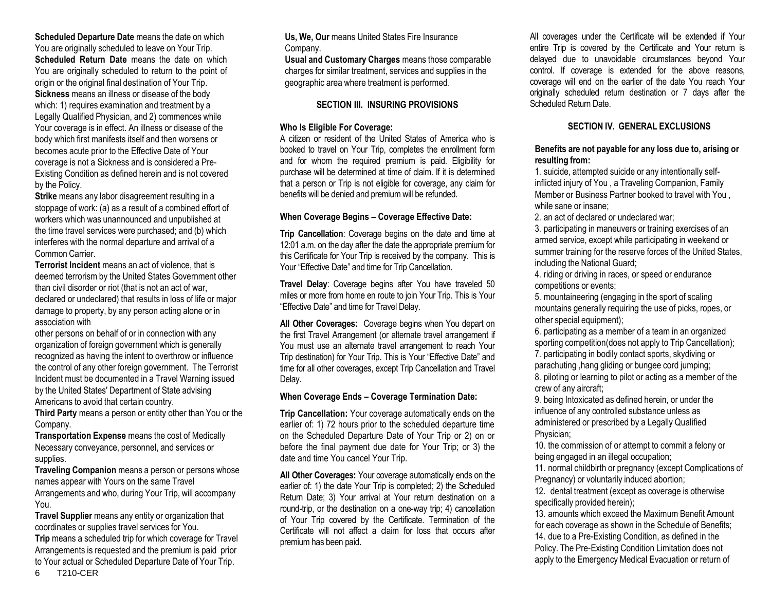**Scheduled Departure Date** means the date on which You are originally scheduled to leave on Your Trip. **Scheduled Return Date** means the date on which You are originally scheduled to return to the point of origin or the original final destination of Your Trip. **Sickness** means an illness or disease of the body which: 1) requires examination and treatment by a Legally Qualified Physician, and 2) commences while Your coverage is in effect. An illness or disease of the body which first manifests itself and then worsens or becomes acute prior to the Effective Date of Your coverage is not a Sickness and is considered a Pre-Existing Condition as defined herein and is not covered by the Policy.

**Strike** means any labor disagreement resulting in a stoppage of work: (a) as a result of a combined effort of workers which was unannounced and unpublished at the time travel services were purchased; and (b) which interferes with the normal departure and arrival of a Common Carrier.

**Terrorist Incident** means an act of violence, that is deemed terrorism by the United States Government other than civil disorder or riot (that is not an act of war, declared or undeclared) that results in loss of life or major damage to property, by any person acting alone or in association with

other persons on behalf of or in connection with any organization of foreign government which is generally recognized as having the intent to overthrow or influence the control of any other foreign government. The Terrorist Incident must be documented in a Travel Warning issued by the United States' Department of State advising Americans to avoid that certain country.

**Third Party** means a person or entity other than You or the Company.

**Transportation Expense** means the cost of Medically Necessary conveyance, personnel, and services or supplies.

**Traveling Companion** means a person or persons whose names appear with Yours on the same Travel Arrangements and who, during Your Trip, will accompany You.

**Travel Supplier** means any entity or organization that coordinates or supplies travel services for You.

**Trip** means a scheduled trip for which coverage for Travel Arrangements is requested and the premium is paid prior to Your actual or Scheduled Departure Date of Your Trip.

**Us, We, Our** means United States Fire Insurance Company.

**Usual and Customary Charges** means those comparable charges for similar treatment, services and supplies in the geographic area where treatment is performed.

# **SECTION III. INSURING PROVISIONS**

# **Who Is Eligible For Coverage:**

A citizen or resident of the United States of America who is booked to travel on Your Trip, completes the enrollment form and for whom the required premium is paid. Eligibility for purchase will be determined at time of claim. If it is determined that a person or Trip is not eligible for coverage, any claim for benefits will be denied and premium will be refunded.

# **When Coverage Begins – Coverage Effective Date:**

**Trip Cancellation:** Coverage begins on the date and time at 12:01 a.m. on the day after the date the appropriate premium for this Certificate for Your Trip is received by the company. This is Your "Effective Date" and time for Trip Cancellation.

**Travel Delay**: Coverage begins after You have traveled 50 miles or more from home en route to join Your Trip. This is Your "Effective Date" and time for Travel Delay.

**All Other Coverages:** Coverage begins when You depart on the first Travel Arrangement (or alternate travel arrangement if You must use an alternate travel arrangement to reach Your Trip destination) for Your Trip. This is Your "Effective Date" and time for all other coverages, except Trip Cancellation and Travel Delay.

# **When Coverage Ends – Coverage Termination Date:**

**Trip Cancellation:** Your coverage automatically ends on the earlier of: 1) 72 hours prior to the scheduled departure time on the Scheduled Departure Date of Your Trip or 2) on or before the final payment due date for Your Trip; or 3) the date and time You cancel Your Trip.

**All Other Coverages:** Your coverage automatically ends on the earlier of: 1) the date Your Trip is completed; 2) the Scheduled Return Date; 3) Your arrival at Your return destination on a round-trip, or the destination on a one-way trip; 4) cancellation of Your Trip covered by the Certificate. Termination of the Certificate will not affect a claim for loss that occurs after premium has been paid.

All coverages under the Certificate will be extended if Your entire Trip is covered by the Certificate and Your return is delayed due to unavoidable circumstances beyond Your control. If coverage is extended for the above reasons, coverage will end on the earlier of the date You reach Your originally scheduled return destination or 7 days after the Scheduled Return Date.

# **SECTION IV. GENERAL EXCLUSIONS**

# **Benefits are not payable for any loss due to, arising or resulting from:**

1. suicide, attempted suicide or any intentionally selfinflicted injury of You , a Traveling Companion, Family Member or Business Partner booked to travel with You , while sane or insane;

2. an act of declared or undeclared war;

3. participating in maneuvers or training exercises of an armed service, except while participating in weekend or summer training for the reserve forces of the United States, including the National Guard;

4. riding or driving in races, or speed or endurance competitions or events;

5. mountaineering (engaging in the sport of scaling mountains generally requiring the use of picks, ropes, or other special equipment);

6. participating as a member of a team in an organized sporting competition(does not apply to Trip Cancellation); 7. participating in bodily contact sports, skydiving or parachuting ,hang gliding or bungee cord jumping; 8. piloting or learning to pilot or acting as a member of the

crew of any aircraft;

9. being Intoxicated as defined herein, or under the influence of any controlled substance unless as administered or prescribed by a Legally Qualified Physician;

10. the commission of or attempt to commit a felony or being engaged in an illegal occupation;

11. normal childbirth or pregnancy (except Complications of Pregnancy) or voluntarily induced abortion;

12. dental treatment (except as coverage is otherwise specifically provided herein);

13. amounts which exceed the Maximum Benefit Amount for each coverage as shown in the Schedule of Benefits; 14. due to a Pre-Existing Condition, as defined in the Policy. The Pre-Existing Condition Limitation does not apply to the Emergency Medical Evacuation or return of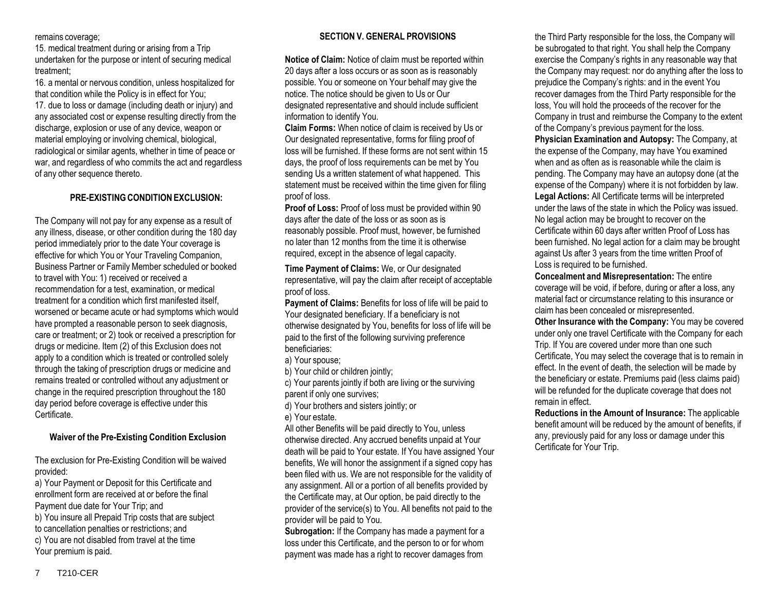remains coverage;

15. medical treatment during or arising from a Trip undertaken for the purpose or intent of securing medical treatment;

16. a mental or nervous condition, unless hospitalized for that condition while the Policy is in effect for You;

17. due to loss or damage (including death or injury) and any associated cost or expense resulting directly from the discharge, explosion or use of any device, weapon or material employing or involving chemical, biological, radiological or similar agents, whether in time of peace or war, and regardless of who commits the act and regardless of any other sequence thereto.

# **PRE-EXISTINGCONDITION EXCLUSION:**

The Company will not pay for any expense as a result of any illness, disease, or other condition during the 180 day period immediately prior to the date Your coverage is effective for which You or Your Traveling Companion, Business Partner or Family Member scheduled or booked to travel with You: 1) received or received a recommendation for a test, examination, or medical treatment for a condition which first manifested itself, worsened or became acute or had symptoms which would have prompted a reasonable person to seek diagnosis, care or treatment; or 2) took or received a prescription for drugs or medicine. Item (2) of this Exclusion does not apply to a condition which is treated or controlled solely through the taking of prescription drugs or medicine and remains treated or controlled without any adjustment or change in the required prescription throughout the 180 day period before coverage is effective under this Certificate.

# **Waiver of the Pre-Existing Condition Exclusion**

The exclusion for Pre-Existing Condition will be waived provided:

a) Your Payment or Deposit for this Certificate and enrollment form are received at or before the final Payment due date for Your Trip; and

b) You insure all Prepaid Trip costs that are subject

to cancellation penalties or restrictions; and

c) You are not disabled from travel at the time Your premium is paid.

# **SECTION V. GENERAL PROVISIONS**

**Notice of Claim:** Notice of claim must be reported within 20 days after a loss occurs or as soon as is reasonably possible. You or someone on Your behalf may give the notice. The notice should be given to Us or Our designated representative and should include sufficient information to identify You.

**Claim Forms:** When notice of claim is received by Us or Our designated representative, forms for filing proof of loss will be furnished. If these forms are not sent within 15 days, the proof of loss requirements can be met by You sending Us a written statement of what happened. This statement must be received within the time given for filing proof of loss.

**Proof of Loss:** Proof of loss must be provided within 90 days after the date of the loss or as soon as is reasonably possible. Proof must, however, be furnished no later than 12 months from the time it is otherwise required, except in the absence of legal capacity.

**Time Payment of Claims:** We, or Our designated representative, will pay the claim after receipt of acceptable proof of loss.

**Payment of Claims:** Benefits for loss of life will be paid to Your designated beneficiary. If a beneficiary is not otherwise designated by You, benefits for loss of life will be paid to the first of the following surviving preference beneficiaries:

a) Your spouse;

b) Your child or children jointly;

c) Your parents jointly if both are living or the surviving

parent if only one survives;

d) Your brothers and sisters jointly; or

e) Your estate.

All other Benefits will be paid directly to You, unless otherwise directed. Any accrued benefits unpaid at Your death will be paid to Your estate. If You have assigned Your benefits, We will honor the assignment if a signed copy has been filed with us. We are not responsible for the validity of any assignment. All or a portion of all benefits provided by the Certificate may, at Our option, be paid directly to the provider of the service(s) to You. All benefits not paid to the provider will be paid to You.

**Subrogation:** If the Company has made a payment for a loss under this Certificate, and the person to or for whom payment was made has a right to recover damages from

the Third Party responsible for the loss, the Company will be subrogated to that right. You shall help the Company exercise the Company's rights in any reasonable way that the Company may request: nor do anything after the loss to prejudice the Company's rights: and in the event You recover damages from the Third Party responsible for the loss, You will hold the proceeds of the recover for the Company in trust and reimburse the Company to the extent of the Company's previous payment for the loss. **Physician Examination and Autopsy:** The Company, at the expense of the Company, may have You examined when and as often as is reasonable while the claim is pending. The Company may have an autopsy done (at the expense of the Company) where it is not forbidden by law. **Legal Actions:** All Certificate terms will be interpreted under the laws of the state in which the Policy was issued. No legal action may be brought to recover on the Certificate within 60 days after written Proof of Loss has been furnished. No legal action for a claim may be brought against Us after 3 years from the time written Proof of Loss is required to be furnished.

**Concealment and Misrepresentation:** The entire coverage will be void, if before, during or after a loss, any material fact or circumstance relating to this insurance or claim has been concealed or misrepresented.

**Other Insurance with the Company:** You may be covered under only one travel Certificate with the Company for each Trip. If You are covered under more than one such Certificate, You may select the coverage that is to remain in effect. In the event of death, the selection will be made by the beneficiary or estate. Premiums paid (less claims paid) will be refunded for the duplicate coverage that does not remain in effect.

**Reductions in the Amount of Insurance:** The applicable benefit amount will be reduced by the amount of benefits, if any, previously paid for any loss or damage under this Certificate for Your Trip.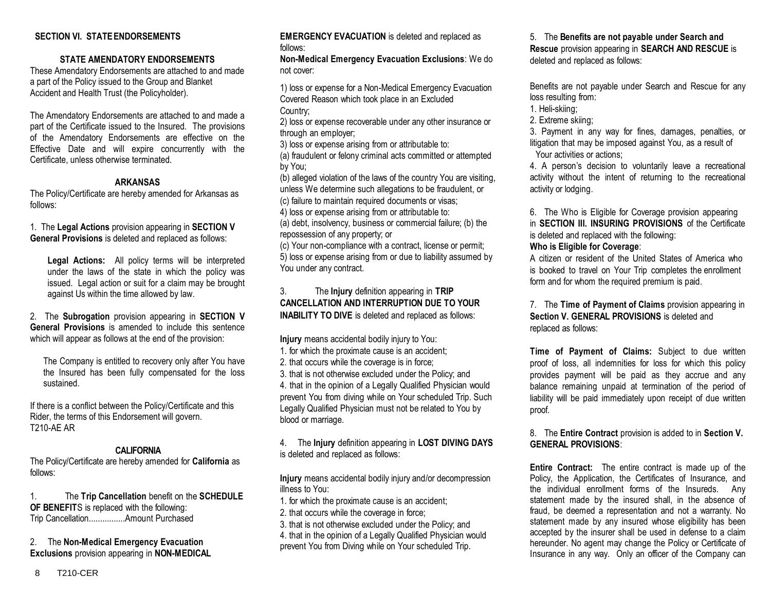# **SECTION VI. STATEENDORSEMENTS**

#### **STATE AMENDATORY ENDORSEMENTS**

These Amendatory Endorsements are attached to and made a part of the Policy issued to the Group and Blanket Accident and Health Trust (the Policyholder).

The Amendatory Endorsements are attached to and made a part of the Certificate issued to the Insured. The provisions of the Amendatory Endorsements are effective on the Effective Date and will expire concurrently with the Certificate, unless otherwise terminated.

#### **ARKANSAS**

The Policy/Certificate are hereby amended for Arkansas as follows:

1. The **Legal Actions** provision appearing in **SECTION V General Provisions** is deleted and replaced as follows:

**Legal Actions:** All policy terms will be interpreted under the laws of the state in which the policy was issued. Legal action or suit for a claim may be brought against Us within the time allowed by law.

2. The **Subrogation** provision appearing in **SECTION V General Provisions** is amended to include this sentence which will appear as follows at the end of the provision:

The Company is entitled to recovery only after You have the Insured has been fully compensated for the loss sustained.

If there is a conflict between the Policy/Certificate and this Rider, the terms of this Endorsement will govern. T210-AE AR

#### **CALIFORNIA**

The Policy/Certificate are hereby amended for **California** as follows:

1. The **Trip Cancellation** benefit on the **SCHEDULE OF BENEFIT**S is replaced with the following: Trip Cancellation................Amount Purchased

## 2. The **Non-Medical Emergency Evacuation Exclusions** provision appearing in **NON-MEDICAL**

**EMERGENCY EVACUATION** is deleted and replaced as follows:

**Non-Medical Emergency Evacuation Exclusions**: We do not cover:

1) loss or expense for a Non-Medical Emergency Evacuation Covered Reason which took place in an Excluded Country;

2) loss or expense recoverable under any other insurance or through an employer;

3) loss or expense arising from or attributable to: (a) fraudulent or felony criminal acts committed or attempted by You;

(b) alleged violation of the laws of the country You are visiting, unless We determine such allegations to be fraudulent, or (c) failure to maintain required documents or visas;

4) loss or expense arising from or attributable to:

(a) debt, insolvency, business or commercial failure; (b) the repossession of any property; or

(c) Your non-compliance with a contract, license or permit; 5) loss or expense arising from or due to liability assumed by You under any contract.

# 3. The **Injury** definition appearing in **TRIP CANCELLATION AND INTERRUPTION DUE TO YOUR INABILITY TO DIVE** is deleted and replaced as follows:

**Injury** means accidental bodily injury to You:

- 1. for which the proximate cause is an accident;
- 2. that occurs while the coverage is in force;

3. that is not otherwise excluded under the Policy; and 4. that in the opinion of a Legally Qualified Physician would prevent You from diving while on Your scheduled Trip. Such Legally Qualified Physician must not be related to You by blood or marriage.

4. The **Injury** definition appearing in **LOST DIVING DAYS** is deleted and replaced as follows:

**Injury** means accidental bodily injury and/or decompression illness to You:

- 1. for which the proximate cause is an accident;
- 2. that occurs while the coverage in force;

3. that is not otherwise excluded under the Policy; and 4. that in the opinion of a Legally Qualified Physician would prevent You from Diving while on Your scheduled Trip.

5. The **Benefits are not payable under Search and Rescue** provision appearing in **SEARCH AND RESCUE** is deleted and replaced as follows:

Benefits are not payable under Search and Rescue for any loss resulting from:

- 1. Heli-skiing;
- 2. Extreme skiing;

3. Payment in any way for fines, damages, penalties, or litigation that may be imposed against You, as a result of Your activities or actions;

4. A person's decision to voluntarily leave a recreational activity without the intent of returning to the recreational activity or lodging.

6. The Who is Eligible for Coverage provision appearing in **SECTION III. INSURING PROVISIONS** of the Certificate is deleted and replaced with the following:

# **Who is Eligible for Coverage**:

A citizen or resident of the United States of America who is booked to travel on Your Trip completes the enrollment form and for whom the required premium is paid.

7. The **Time of Payment of Claims** provision appearing in **Section V. GENERAL PROVISIONS** is deleted and replaced as follows:

**Time of Payment of Claims:** Subject to due written proof of loss, all indemnities for loss for which this policy provides payment will be paid as they accrue and any balance remaining unpaid at termination of the period of liability will be paid immediately upon receipt of due written proof.

8. The **Entire Contract** provision is added to in **Section V. GENERAL PROVISIONS**:

**Entire Contract:** The entire contract is made up of the Policy, the Application, the Certificates of Insurance, and the individual enrollment forms of the Insureds. Any statement made by the insured shall, in the absence of fraud, be deemed a representation and not a warranty. No statement made by any insured whose eligibility has been accepted by the insurer shall be used in defense to a claim hereunder. No agent may change the Policy or Certificate of Insurance in any way. Only an officer of the Company can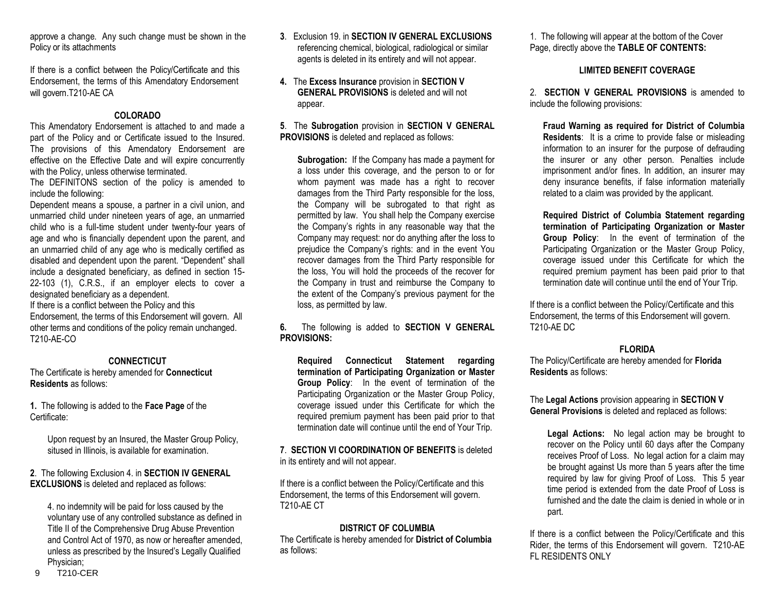approve a change. Any such change must be shown in the Policy or its attachments

If there is a conflict between the Policy/Certificate and this Endorsement, the terms of this Amendatory Endorsement will govern.T210-AE CA

# **COLORADO**

This Amendatory Endorsement is attached to and made a part of the Policy and or Certificate issued to the Insured. The provisions of this Amendatory Endorsement are effective on the Effective Date and will expire concurrently with the Policy, unless otherwise terminated.

The DEFINITONS section of the policy is amended to include the following:

Dependent means a spouse, a partner in a civil union, and unmarried child under nineteen years of age, an unmarried child who is a full-time student under twenty-four years of age and who is financially dependent upon the parent, and an unmarried child of any age who is medically certified as disabled and dependent upon the parent. "Dependent" shall include a designated beneficiary, as defined in section 15- 22-103 (1), C.R.S., if an employer elects to cover a designated beneficiary as a dependent.

If there is a conflict between the Policy and this Endorsement, the terms of this Endorsement will govern. All other terms and conditions of the policy remain unchanged. T210-AE-CO

# **CONNECTICUT**

The Certificate is hereby amended for **Connecticut Residents** as follows:

**1.** The following is added to the **Face Page** of the Certificate:

> Upon request by an Insured, the Master Group Policy, sitused in Illinois, is available for examination.

# **2**. The following Exclusion 4. in **SECTION IV GENERAL EXCLUSIONS** is deleted and replaced as follows:

4. no indemnity will be paid for loss caused by the voluntary use of any controlled substance as defined in Title II of the Comprehensive Drug Abuse Prevention and Control Act of 1970, as now or hereafter amended, unless as prescribed by the Insured's Legally Qualified Physician;

- **3**. Exclusion 19. in **SECTION IV GENERAL EXCLUSIONS** referencing chemical, biological, radiological or similar agents is deleted in its entirety and will not appear.
- **4.** The **Excess Insurance** provision in **SECTION V GENERAL PROVISIONS** is deleted and will not appear.

**5**. The **Subrogation** provision in **SECTION V GENERAL PROVISIONS** is deleted and replaced as follows:

**Subrogation:** If the Company has made a payment for a loss under this coverage, and the person to or for whom payment was made has a right to recover damages from the Third Party responsible for the loss, the Company will be subrogated to that right as permitted by law. You shall help the Company exercise the Company's rights in any reasonable way that the Company may request: nor do anything after the loss to prejudice the Company's rights: and in the event You recover damages from the Third Party responsible for the loss, You will hold the proceeds of the recover for the Company in trust and reimburse the Company to the extent of the Company's previous payment for the loss, as permitted by law.

**6.** The following is added to **SECTION V GENERAL PROVISIONS:** 

**Required Connecticut Statement regarding termination of Participating Organization or Master Group Policy**: In the event of termination of the Participating Organization or the Master Group Policy, coverage issued under this Certificate for which the required premium payment has been paid prior to that termination date will continue until the end of Your Trip.

**7**. **SECTION VI COORDINATION OF BENEFITS** is deleted in its entirety and will not appear.

If there is a conflict between the Policy/Certificate and this Endorsement, the terms of this Endorsement will govern. T210-AE CT

# **DISTRICT OF COLUMBIA**

The Certificate is hereby amended for **District of Columbia** as follows:

1. The following will appear at the bottom of the Cover Page, directly above the **TABLE OF CONTENTS:**

# **LIMITED BENEFIT COVERAGE**

2. **SECTION V GENERAL PROVISIONS** is amended to include the following provisions:

**Fraud Warning as required for District of Columbia Residents**: It is a crime to provide false or misleading information to an insurer for the purpose of defrauding the insurer or any other person. Penalties include imprisonment and/or fines. In addition, an insurer may deny insurance benefits, if false information materially related to a claim was provided by the applicant.

**Required District of Columbia Statement regarding termination of Participating Organization or Master Group Policy**: In the event of termination of the Participating Organization or the Master Group Policy, coverage issued under this Certificate for which the required premium payment has been paid prior to that termination date will continue until the end of Your Trip.

If there is a conflict between the Policy/Certificate and this Endorsement, the terms of this Endorsement will govern. T210-AE DC

# **FLORIDA**

The Policy/Certificate are hereby amended for **Florida Residents** as follows:

The **Legal Actions** provision appearing in **SECTION V General Provisions** is deleted and replaced as follows:

**Legal Actions:** No legal action may be brought to recover on the Policy until 60 days after the Company receives Proof of Loss. No legal action for a claim may be brought against Us more than 5 years after the time required by law for giving Proof of Loss. This 5 year time period is extended from the date Proof of Loss is furnished and the date the claim is denied in whole or in part.

If there is a conflict between the Policy/Certificate and this Rider, the terms of this Endorsement will govern. T210-AE FL RESIDENTS ONLY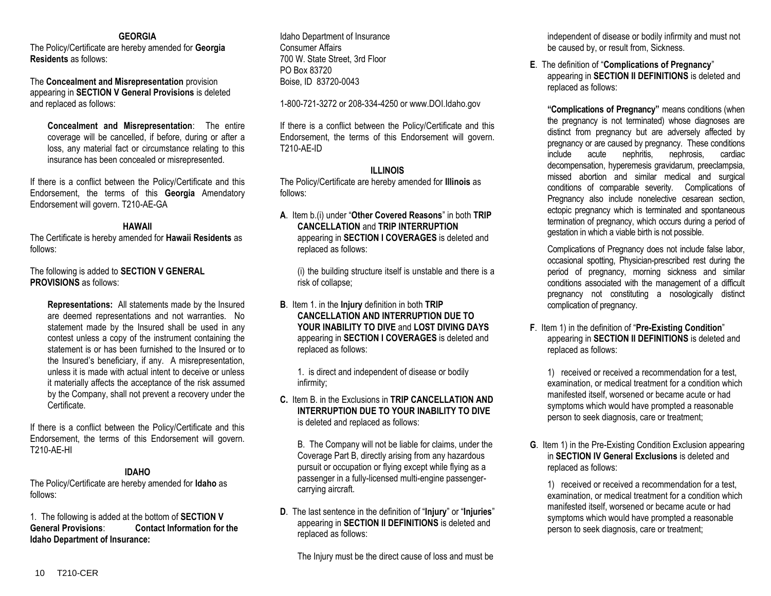#### **GEORGIA**

The Policy/Certificate are hereby amended for **Georgia Residents** as follows:

The **Concealment and Misrepresentation** provision appearing in **SECTION V General Provisions** is deleted and replaced as follows:

**Concealment and Misrepresentation**: The entire coverage will be cancelled, if before, during or after a loss, any material fact or circumstance relating to this insurance has been concealed or misrepresented.

If there is a conflict between the Policy/Certificate and this Endorsement, the terms of this **Georgia** Amendatory Endorsement will govern. T210-AE-GA

#### **HAWAII**

The Certificate is hereby amended for **Hawaii Residents** as follows:

# The following is added to **SECTION V GENERAL PROVISIONS** as follows:

**Representations:** All statements made by the Insured are deemed representations and not warranties. No statement made by the Insured shall be used in any contest unless a copy of the instrument containing the statement is or has been furnished to the Insured or to the Insured's beneficiary, if any. A misrepresentation, unless it is made with actual intent to deceive or unless it materially affects the acceptance of the risk assumed by the Company, shall not prevent a recovery under the Certificate.

If there is a conflict between the Policy/Certificate and this Endorsement, the terms of this Endorsement will govern. T210-AE-HI

# **IDAHO**

The Policy/Certificate are hereby amended for **Idaho** as follows:

1. The following is added at the bottom of **SECTION V General Provisions**: **Contact Information for the Idaho Department of Insurance:**

Idaho Department of Insurance Consumer Affairs 700 W. State Street, 3rd Floor PO Box 83720 Boise, ID 83720-0043

1-800-721-3272 or 208-334-4250 or www.DOI.Idaho.gov

If there is a conflict between the Policy/Certificate and this Endorsement, the terms of this Endorsement will govern. T210-AE-ID

#### **ILLINOIS**

The Policy/Certificate are hereby amended for **Illinois** as follows:

**A**. Item b.(i) under "**Other Covered Reasons**" in both **TRIP CANCELLATION** and **TRIP INTERRUPTION** appearing in **SECTION I COVERAGES** is deleted and replaced as follows:

(i) the building structure itself is unstable and there is a risk of collapse;

**B**. Item 1. in the **Injury** definition in both **TRIP CANCELLATION AND INTERRUPTION DUE TO YOUR INABILITY TO DIVE** and **LOST DIVING DAYS** appearing in **SECTION I COVERAGES** is deleted and replaced as follows:

1. is direct and independent of disease or bodily infirmity;

**C.** Item B. in the Exclusions in **TRIP CANCELLATION AND INTERRUPTION DUE TO YOUR INABILITY TO DIVE**  is deleted and replaced as follows:

B. The Company will not be liable for claims, under the Coverage Part B, directly arising from any hazardous pursuit or occupation or flying except while flying as a passenger in a fully-licensed multi-engine passengercarrying aircraft.

**D**. The last sentence in the definition of "**Injury**" or "**Injuries**" appearing in **SECTION II DEFINITIONS** is deleted and replaced as follows:

The Injury must be the direct cause of loss and must be

independent of disease or bodily infirmity and must not be caused by, or result from, Sickness.

**E**. The definition of "**Complications of Pregnancy**" appearing in **SECTION II DEFINITIONS** is deleted and replaced as follows:

**"Complications of Pregnancy"** means conditions (when the pregnancy is not terminated) whose diagnoses are distinct from pregnancy but are adversely affected by pregnancy or are caused by pregnancy. These conditions include acute nephritis, nephrosis, cardiac decompensation, hyperemesis gravidarum, preeclampsia, missed abortion and similar medical and surgical conditions of comparable severity. Complications of Pregnancy also include nonelective cesarean section, ectopic pregnancy which is terminated and spontaneous termination of pregnancy, which occurs during a period of gestation in which a viable birth is not possible.

Complications of Pregnancy does not include false labor, occasional spotting, Physician-prescribed rest during the period of pregnancy, morning sickness and similar conditions associated with the management of a difficult pregnancy not constituting a nosologically distinct complication of pregnancy.

**F**. Item 1) in the definition of "**Pre-Existing Condition**" appearing in **SECTION II DEFINITIONS** is deleted and replaced as follows:

1) received or received a recommendation for a test, examination, or medical treatment for a condition which manifested itself, worsened or became acute or had symptoms which would have prompted a reasonable person to seek diagnosis, care or treatment;

**G**. Item 1) in the Pre-Existing Condition Exclusion appearing in **SECTION IV General Exclusions** is deleted and replaced as follows:

1) received or received a recommendation for a test, examination, or medical treatment for a condition which manifested itself, worsened or became acute or had symptoms which would have prompted a reasonable person to seek diagnosis, care or treatment;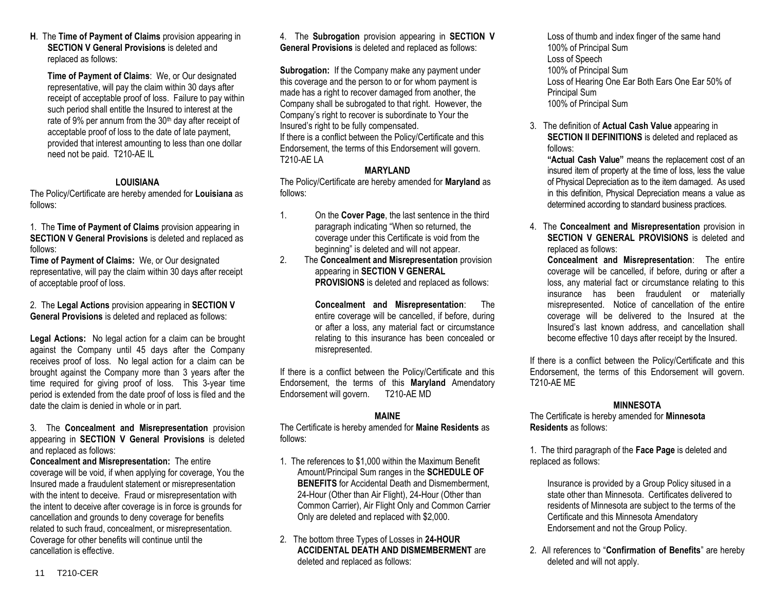**H**. The **Time of Payment of Claims** provision appearing in **SECTION V General Provisions** is deleted and replaced as follows:

**Time of Payment of Claims**: We, or Our designated representative, will pay the claim within 30 days after receipt of acceptable proof of loss. Failure to pay within such period shall entitle the Insured to interest at the rate of 9% per annum from the 30<sup>th</sup> day after receipt of acceptable proof of loss to the date of late payment, provided that interest amounting to less than one dollar need not be paid. T210-AE IL

# **LOUISIANA**

The Policy/Certificate are hereby amended for **Louisiana** as follows:

1. The **Time of Payment of Claims** provision appearing in **SECTION V General Provisions** is deleted and replaced as follows:

**Time of Payment of Claims:** We, or Our designated representative, will pay the claim within 30 days after receipt of acceptable proof of loss.

2. The **Legal Actions** provision appearing in **SECTION V General Provisions** is deleted and replaced as follows:

**Legal Actions:** No legal action for a claim can be brought against the Company until 45 days after the Company receives proof of loss. No legal action for a claim can be brought against the Company more than 3 years after the time required for giving proof of loss. This 3-year time period is extended from the date proof of loss is filed and the date the claim is denied in whole or in part.

3. The **Concealment and Misrepresentation** provision appearing in **SECTION V General Provisions** is deleted and replaced as follows:

**Concealment and Misrepresentation:** The entire coverage will be void, if when applying for coverage, You the Insured made a fraudulent statement or misrepresentation with the intent to deceive. Fraud or misrepresentation with the intent to deceive after coverage is in force is grounds for cancellation and grounds to deny coverage for benefits related to such fraud, concealment, or misrepresentation. Coverage for other benefits will continue until the cancellation is effective.

4. The **Subrogation** provision appearing in **SECTION V General Provisions** is deleted and replaced as follows:

**Subrogation:** If the Company make any payment under this coverage and the person to or for whom payment is made has a right to recover damaged from another, the Company shall be subrogated to that right. However, the Company's right to recover is subordinate to Your the Insured's right to be fully compensated.

If there is a conflict between the Policy/Certificate and this Endorsement, the terms of this Endorsement will govern. T210-AE LA

# **MARYLAND**

The Policy/Certificate are hereby amended for **Maryland** as follows:

- 1. On the **Cover Page**, the last sentence in the third paragraph indicating "When so returned, the coverage under this Certificate is void from the beginning" is deleted and will not appear.
- 2. The **Concealment and Misrepresentation** provision appearing in **SECTION V GENERAL PROVISIONS** is deleted and replaced as follows:

**Concealment and Misrepresentation**: The entire coverage will be cancelled, if before, during or after a loss, any material fact or circumstance relating to this insurance has been concealed or misrepresented.

If there is a conflict between the Policy/Certificate and this Endorsement, the terms of this **Maryland** Amendatory Endorsement will govern. T210-AE MD

# **MAINE**

The Certificate is hereby amended for **Maine Residents** as follows:

- 1. The references to \$1,000 within the Maximum Benefit Amount/Principal Sum ranges in the **SCHEDULE OF BENEFITS** for Accidental Death and Dismemberment, 24-Hour (Other than Air Flight), 24-Hour (Other than Common Carrier), Air Flight Only and Common Carrier Only are deleted and replaced with \$2,000.
- 2. The bottom three Types of Losses in **24-HOUR ACCIDENTAL DEATH AND DISMEMBERMENT** are deleted and replaced as follows:

Loss of thumb and index finger of the same hand 100% of Principal Sum Loss of Speech 100% of Principal Sum Loss of Hearing One Ear Both Ears One Ear 50% of Principal Sum 100% of Principal Sum

3. The definition of **Actual Cash Value** appearing in **SECTION II DEFINITIONS** is deleted and replaced as follows:

**"Actual Cash Value"** means the replacement cost of an insured item of property at the time of loss, less the value of Physical Depreciation as to the item damaged. As used in this definition, Physical Depreciation means a value as determined according to standard business practices.

4. The **Concealment and Misrepresentation** provision in **SECTION V GENERAL PROVISIONS** is deleted and replaced as follows:

**Concealment and Misrepresentation**: The entire coverage will be cancelled, if before, during or after a loss, any material fact or circumstance relating to this insurance has been fraudulent or materially misrepresented. Notice of cancellation of the entire coverage will be delivered to the Insured at the Insured's last known address, and cancellation shall become effective 10 days after receipt by the Insured.

If there is a conflict between the Policy/Certificate and this Endorsement, the terms of this Endorsement will govern. T210-AE ME

# **MINNESOTA**

The Certificate is hereby amended for **Minnesota Residents** as follows:

1. The third paragraph of the **Face Page** is deleted and replaced as follows:

Insurance is provided by a Group Policy sitused in a state other than Minnesota. Certificates delivered to residents of Minnesota are subject to the terms of the Certificate and this Minnesota Amendatory Endorsement and not the Group Policy.

2. All references to "**Confirmation of Benefits**" are hereby deleted and will not apply.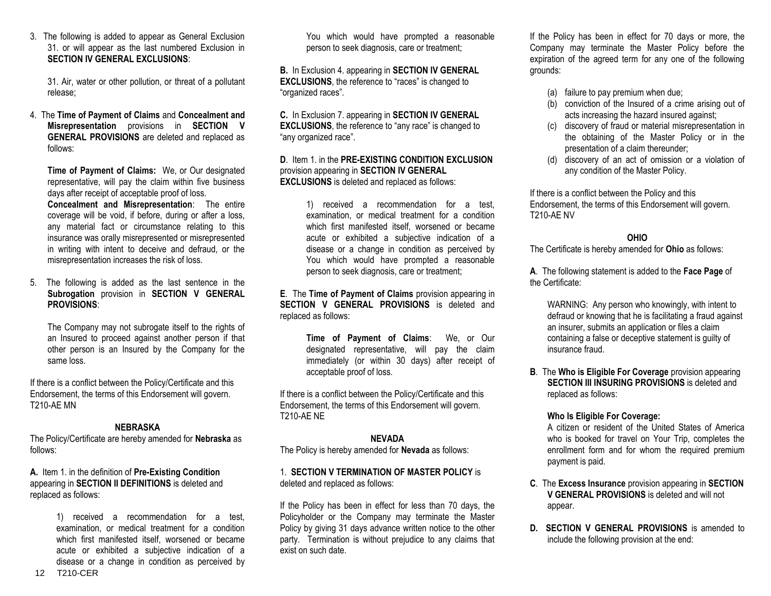3. The following is added to appear as General Exclusion 31. or will appear as the last numbered Exclusion in **SECTION IV GENERAL EXCLUSIONS**:

31. Air, water or other pollution, or threat of a pollutant release;

4. The **Time of Payment of Claims** and **Concealment and Misrepresentation** provisions in **SECTION V GENERAL PROVISIONS** are deleted and replaced as follows:

**Time of Payment of Claims:** We, or Our designated representative, will pay the claim within five business days after receipt of acceptable proof of loss.

**Concealment and Misrepresentation**: The entire coverage will be void, if before, during or after a loss, any material fact or circumstance relating to this insurance was orally misrepresented or misrepresented in writing with intent to deceive and defraud, or the misrepresentation increases the risk of loss.

5. The following is added as the last sentence in the **Subrogation** provision in **SECTION V GENERAL PROVISIONS**:

The Company may not subrogate itself to the rights of an Insured to proceed against another person if that other person is an Insured by the Company for the same loss.

If there is a conflict between the Policy/Certificate and this Endorsement, the terms of this Endorsement will govern. T210-AE MN

# **NEBRASKA**

The Policy/Certificate are hereby amended for **Nebraska** as follows:

**A.** Item 1. in the definition of **Pre-Existing Condition** appearing in **SECTION II DEFINITIONS** is deleted and replaced as follows:

> 1) received a recommendation for a test, examination, or medical treatment for a condition which first manifested itself, worsened or became acute or exhibited a subjective indication of a disease or a change in condition as perceived by

You which would have prompted a reasonable person to seek diagnosis, care or treatment;

**B.** In Exclusion 4. appearing in **SECTION IV GENERAL EXCLUSIONS**, the reference to "races" is changed to "organized races".

**C.** In Exclusion 7. appearing in **SECTION IV GENERAL EXCLUSIONS**, the reference to "any race" is changed to "any organized race".

**D**. Item 1. in the **PRE-EXISTING CONDITION EXCLUSION** provision appearing in **SECTION IV GENERAL EXCLUSIONS** is deleted and replaced as follows:

> 1) received a recommendation for a test, examination, or medical treatment for a condition which first manifested itself, worsened or became acute or exhibited a subjective indication of a disease or a change in condition as perceived by You which would have prompted a reasonable person to seek diagnosis, care or treatment;

**E**. The **Time of Payment of Claims** provision appearing in **SECTION V GENERAL PROVISIONS** is deleted and replaced as follows:

> **Time of Payment of Claims**: We, or Our designated representative, will pay the claim immediately (or within 30 days) after receipt of acceptable proof of loss.

If there is a conflict between the Policy/Certificate and this Endorsement, the terms of this Endorsement will govern. T210-AE NE

# **NEVADA**

The Policy is hereby amended for **Nevada** as follows:

# 1. **SECTION V TERMINATION OF MASTER POLICY** is deleted and replaced as follows:

If the Policy has been in effect for less than 70 days, the Policyholder or the Company may terminate the Master Policy by giving 31 days advance written notice to the other party. Termination is without prejudice to any claims that exist on such date.

If the Policy has been in effect for 70 days or more, the Company may terminate the Master Policy before the expiration of the agreed term for any one of the following grounds:

- (a) failure to pay premium when due;
- (b) conviction of the Insured of a crime arising out of acts increasing the hazard insured against;
- (c) discovery of fraud or material misrepresentation in the obtaining of the Master Policy or in the presentation of a claim thereunder;
- (d) discovery of an act of omission or a violation of any condition of the Master Policy.

If there is a conflict between the Policy and this Endorsement, the terms of this Endorsement will govern. T210-AE NV

# **OHIO**

The Certificate is hereby amended for **Ohio** as follows:

**A**. The following statement is added to the **Face Page** of the Certificate:

WARNING: Any person who knowingly, with intent to defraud or knowing that he is facilitating a fraud against an insurer, submits an application or files a claim containing a false or deceptive statement is guilty of insurance fraud.

**B**. The **Who is Eligible For Coverage** provision appearing **SECTION III INSURING PROVISIONS** is deleted and replaced as follows:

# **Who Is Eligible For Coverage:**

A citizen or resident of the United States of America who is booked for travel on Your Trip, completes the enrollment form and for whom the required premium payment is paid.

- **C**. The **Excess Insurance** provision appearing in **SECTION V GENERAL PROVISIONS** is deleted and will not appear.
- **D.** SECTION V GENERAL PROVISIONS is amended to include the following provision at the end: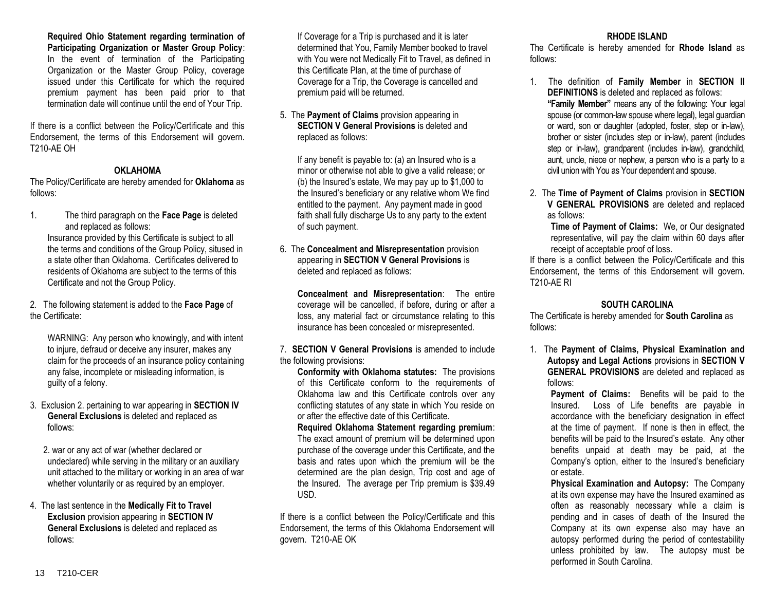# **Required Ohio Statement regarding termination of**

**Participating Organization or Master Group Policy**: In the event of termination of the Participating Organization or the Master Group Policy, coverage issued under this Certificate for which the required premium payment has been paid prior to that termination date will continue until the end of Your Trip.

If there is a conflict between the Policy/Certificate and this Endorsement, the terms of this Endorsement will govern. T210-AE OH

# **OKLAHOMA**

The Policy/Certificate are hereby amended for **Oklahoma** as follows:

1. The third paragraph on the **Face Page** is deleted and replaced as follows:

Insurance provided by this Certificate is subject to all the terms and conditions of the Group Policy, sitused in a state other than Oklahoma. Certificates delivered to residents of Oklahoma are subject to the terms of this Certificate and not the Group Policy.

2. The following statement is added to the **Face Page** of the Certificate:

WARNING: Any person who knowingly, and with intent to injure, defraud or deceive any insurer, makes any claim for the proceeds of an insurance policy containing any false, incomplete or misleading information, is guilty of a felony.

3. Exclusion 2. pertaining to war appearing in **SECTION IV General Exclusions** is deleted and replaced as follows:

2. war or any act of war (whether declared or undeclared) while serving in the military or an auxiliary unit attached to the military or working in an area of war whether voluntarily or as required by an employer.

4. The last sentence in the **Medically Fit to Travel Exclusion** provision appearing in **SECTION IV General Exclusions** is deleted and replaced as follows:

If Coverage for a Trip is purchased and it is later determined that You, Family Member booked to travel with You were not Medically Fit to Travel, as defined in this Certificate Plan, at the time of purchase of Coverage for a Trip, the Coverage is cancelled and premium paid will be returned.

5. The **Payment of Claims** provision appearing in **SECTION V General Provisions** is deleted and replaced as follows:

If any benefit is payable to: (a) an Insured who is a minor or otherwise not able to give a valid release; or (b) the Insured's estate, We may pay up to \$1,000 to the Insured's beneficiary or any relative whom We find entitled to the payment. Any payment made in good faith shall fully discharge Us to any party to the extent of such payment.

6. The **Concealment and Misrepresentation** provision appearing in **SECTION V General Provisions** is deleted and replaced as follows:

**Concealment and Misrepresentation**: The entire coverage will be cancelled, if before, during or after a loss, any material fact or circumstance relating to this insurance has been concealed or misrepresented.

7. **SECTION V General Provisions** is amended to include the following provisions:

**Conformity with Oklahoma statutes:** The provisions of this Certificate conform to the requirements of Oklahoma law and this Certificate controls over any conflicting statutes of any state in which You reside on or after the effective date of this Certificate.

**Required Oklahoma Statement regarding premium**: The exact amount of premium will be determined upon purchase of the coverage under this Certificate, and the basis and rates upon which the premium will be the determined are the plan design, Trip cost and age of the Insured. The average per Trip premium is \$39.49 USD.

If there is a conflict between the Policy/Certificate and this Endorsement, the terms of this Oklahoma Endorsement will govern. T210-AE OK

# **RHODE ISLAND**

The Certificate is hereby amended for **Rhode Island** as follows:

- 1. The definition of **Family Member** in **SECTION II DEFINITIONS** is deleted and replaced as follows: **"Family Member"** means any of the following: Your legal spouse (or common-law spouse where legal), legal guardian or ward, son or daughter (adopted, foster, step or in-law), brother or sister (includes step or in-law), parent (includes step or in-law), grandparent (includes in-law), grandchild, aunt, uncle, niece or nephew, a person who is a party to a civil union with You as Your dependent and spouse.
- 2. The **Time of Payment of Claims** provision in **SECTION V GENERAL PROVISIONS** are deleted and replaced as follows:

**Time of Payment of Claims:** We, or Our designated representative, will pay the claim within 60 days after receipt of acceptable proof of loss.

If there is a conflict between the Policy/Certificate and this Endorsement, the terms of this Endorsement will govern. T210-AE RI

# **SOUTH CAROLINA**

The Certificate is hereby amended for **South Carolina** as follows:

1. The **Payment of Claims, Physical Examination and Autopsy and Legal Actions** provisions in **SECTION V GENERAL PROVISIONS** are deleted and replaced as follows:

Payment of Claims: Benefits will be paid to the Insured. Loss of Life benefits are payable in accordance with the beneficiary designation in effect at the time of payment. If none is then in effect, the benefits will be paid to the Insured's estate. Any other benefits unpaid at death may be paid, at the Company's option, either to the Insured's beneficiary or estate.

**Physical Examination and Autopsy:** The Company at its own expense may have the Insured examined as often as reasonably necessary while a claim is pending and in cases of death of the Insured the Company at its own expense also may have an autopsy performed during the period of contestability unless prohibited by law. The autopsy must be performed in South Carolina.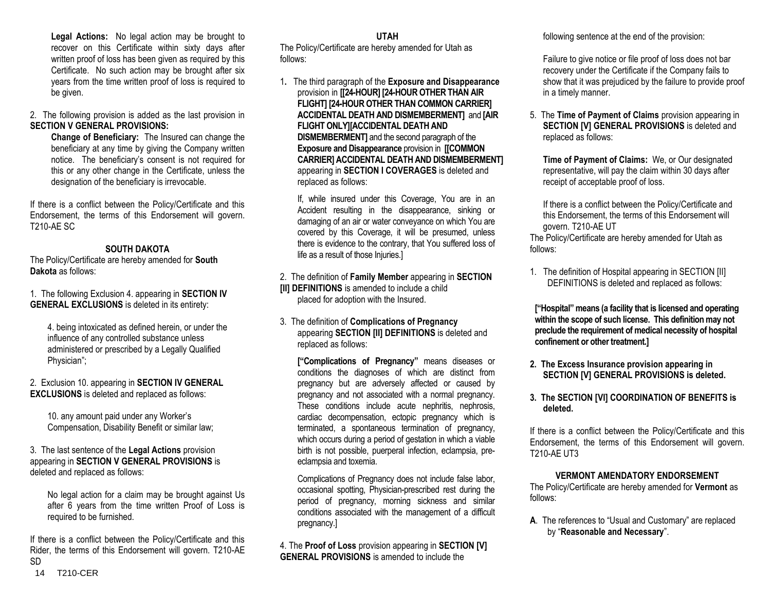**Legal Actions:** No legal action may be brought to recover on this Certificate within sixty days after written proof of loss has been given as required by this Certificate. No such action may be brought after six years from the time written proof of loss is required to be given.

2. The following provision is added as the last provision in **SECTION V GENERAL PROVISIONS:** 

**Change of Beneficiary:** The Insured can change the beneficiary at any time by giving the Company written notice. The beneficiary's consent is not required for this or any other change in the Certificate, unless the designation of the beneficiary is irrevocable.

If there is a conflict between the Policy/Certificate and this Endorsement, the terms of this Endorsement will govern. T210-AE SC

# **SOUTH DAKOTA**

The Policy/Certificate are hereby amended for **South Dakota** as follows:

1. The following Exclusion 4. appearing in **SECTION IV GENERAL EXCLUSIONS** is deleted in its entirety:

4. being intoxicated as defined herein, or under the influence of any controlled substance unless administered or prescribed by a Legally Qualified Physician";

2. Exclusion 10. appearing in **SECTION IV GENERAL EXCLUSIONS** is deleted and replaced as follows:

10. any amount paid under any Worker's Compensation, Disability Benefit or similar law;

# 3. The last sentence of the **Legal Actions** provision appearing in **SECTION V GENERAL PROVISIONS** is deleted and replaced as follows:

No legal action for a claim may be brought against Us after 6 years from the time written Proof of Loss is required to be furnished.

14 T210-CER If there is a conflict between the Policy/Certificate and this Rider, the terms of this Endorsement will govern. T210-AE SD

**UTAH** 

The Policy/Certificate are hereby amended for Utah as follows:

1**.** The third paragraph of the **Exposure and Disappearance** provision in **[[24-HOUR] [24-HOUR OTHER THAN AIR FLIGHT] [24-HOUR OTHER THAN COMMON CARRIER] ACCIDENTAL DEATH AND DISMEMBERMENT]** and **[AIR FLIGHT ONLY][ACCIDENTAL DEATH AND DISMEMBERMENT]** and the second paragraph of the **Exposure and Disappearance** provision in **[[COMMON CARRIER] ACCIDENTAL DEATH AND DISMEMBERMENT]** appearing in **SECTION I COVERAGES** is deleted and replaced as follows:

If, while insured under this Coverage, You are in an Accident resulting in the disappearance, sinking or damaging of an air or water conveyance on which You are covered by this Coverage, it will be presumed, unless there is evidence to the contrary, that You suffered loss of life as a result of those Injuries.]

2. The definition of **Family Member** appearing in **SECTION [II] DEFINITIONS** is amended to include a child placed for adoption with the Insured.

3. The definition of **Complications of Pregnancy** appearing **SECTION [II] DEFINITIONS** is deleted and replaced as follows:

**["Complications of Pregnancy"** means diseases or conditions the diagnoses of which are distinct from pregnancy but are adversely affected or caused by pregnancy and not associated with a normal pregnancy. These conditions include acute nephritis, nephrosis, cardiac decompensation, ectopic pregnancy which is terminated, a spontaneous termination of pregnancy, which occurs during a period of gestation in which a viable birth is not possible, puerperal infection, eclampsia, preeclampsia and toxemia.

Complications of Pregnancy does not include false labor, occasional spotting, Physician-prescribed rest during the period of pregnancy, morning sickness and similar conditions associated with the management of a difficult pregnancy.]

4. The **Proof of Loss** provision appearing in **SECTION [V] GENERAL PROVISIONS** is amended to include the

following sentence at the end of the provision:

Failure to give notice or file proof of loss does not bar recovery under the Certificate if the Company fails to show that it was prejudiced by the failure to provide proof in a timely manner.

5. The **Time of Payment of Claims** provision appearing in **SECTION [V] GENERAL PROVISIONS** is deleted and replaced as follows:

**Time of Payment of Claims:** We, or Our designated representative, will pay the claim within 30 days after receipt of acceptable proof of loss.

If there is a conflict between the Policy/Certificate and this Endorsement, the terms of this Endorsement will govern. T210-AE UT

The Policy/Certificate are hereby amended for Utah as follows:

1. The definition of Hospital appearing in SECTION [II] DEFINITIONS is deleted and replaced as follows:

**["Hospital" means (a facility that is licensed and operating within the scope of such license. This definition may not preclude the requirement of medical necessity of hospital confinement or other treatment.]**

- **2. The Excess Insurance provision appearing in SECTION [V] GENERAL PROVISIONS is deleted.**
- **3. The SECTION [VI] COORDINATION OF BENEFITS is deleted.**

If there is a conflict between the Policy/Certificate and this Endorsement, the terms of this Endorsement will govern. T210-AE UT3

# **VERMONT AMENDATORY ENDORSEMENT**

The Policy/Certificate are hereby amended for **Vermont** as follows:

**A**. The references to "Usual and Customary" are replaced by "**Reasonable and Necessary**".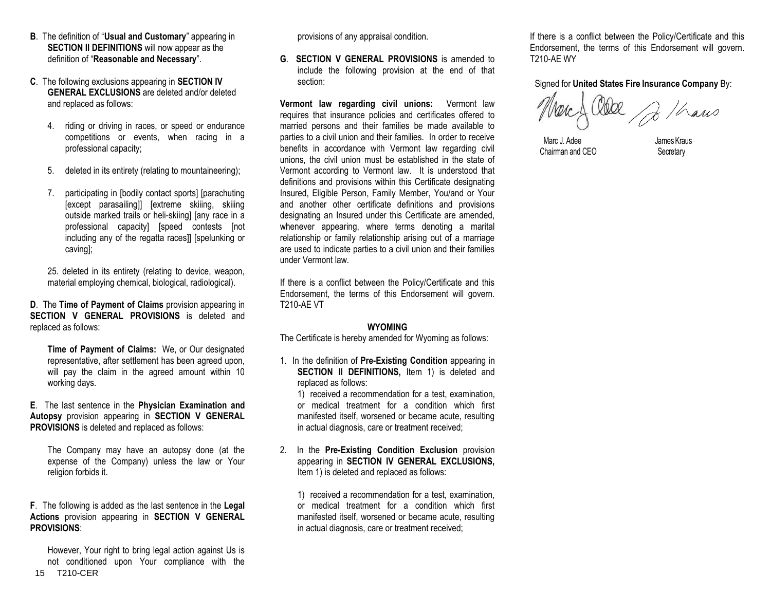- **B**. The definition of "**Usual and Customary**" appearing in **SECTION II DEFINITIONS** will now appear as the definition of "**Reasonable and Necessary**".
- **C**. The following exclusions appearing in **SECTION IV GENERAL EXCLUSIONS** are deleted and/or deleted and replaced as follows:
	- 4. riding or driving in races, or speed or endurance competitions or events, when racing in a professional capacity;
	- 5. deleted in its entirety (relating to mountaineering);
	- 7. participating in [bodily contact sports] [parachuting [except parasailing]] [extreme skiiing, skiiing outside marked trails or heli-skiing] [any race in a professional capacity] [speed contests [not including any of the regatta races]] [spelunking or caving];

25. deleted in its entirety (relating to device, weapon, material employing chemical, biological, radiological).

**D**. The **Time of Payment of Claims** provision appearing in **SECTION V GENERAL PROVISIONS** is deleted and replaced as follows:

**Time of Payment of Claims:** We, or Our designated representative, after settlement has been agreed upon, will pay the claim in the agreed amount within 10 working days.

**E**. The last sentence in the **Physician Examination and Autopsy** provision appearing in **SECTION V GENERAL PROVISIONS** is deleted and replaced as follows:

The Company may have an autopsy done (at the expense of the Company) unless the law or Your religion forbids it.

### **F**. The following is added as the last sentence in the **Legal Actions** provision appearing in **SECTION V GENERAL PROVISIONS**:

15 T210-CER However, Your right to bring legal action against Us is not conditioned upon Your compliance with the

provisions of any appraisal condition.

**G**. **SECTION V GENERAL PROVISIONS** is amended to include the following provision at the end of that section:

**Vermont law regarding civil unions:** Vermont law requires that insurance policies and certificates offered to married persons and their families be made available to parties to a civil union and their families. In order to receive benefits in accordance with Vermont law regarding civil unions, the civil union must be established in the state of Vermont according to Vermont law. It is understood that definitions and provisions within this Certificate designating Insured, Eligible Person, Family Member, You/and or Your and another other certificate definitions and provisions designating an Insured under this Certificate are amended, whenever appearing, where terms denoting a marital relationship or family relationship arising out of a marriage are used to indicate parties to a civil union and their families under Vermont law.

If there is a conflict between the Policy/Certificate and this Endorsement, the terms of this Endorsement will govern. T210-AE VT

# **WYOMING**

The Certificate is hereby amended for Wyoming as follows:

1. In the definition of **Pre-Existing Condition** appearing in **SECTION II DEFINITIONS, Item 1) is deleted and** replaced as follows:

1) received a recommendation for a test, examination, or medical treatment for a condition which first manifested itself, worsened or became acute, resulting in actual diagnosis, care or treatment received;

2. In the **Pre-Existing Condition Exclusion** provision appearing in **SECTION IV GENERAL EXCLUSIONS,**  Item 1) is deleted and replaced as follows:

1) received a recommendation for a test, examination, or medical treatment for a condition which first manifested itself, worsened or became acute, resulting in actual diagnosis, care or treatment received;

If there is a conflict between the Policy/Certificate and this Endorsement, the terms of this Endorsement will govern. T210-AE WY

Signed for **United States Fire Insurance Company** By:

De / Cars

Marc J. Adee James Kraus Chairman and CEO Secretary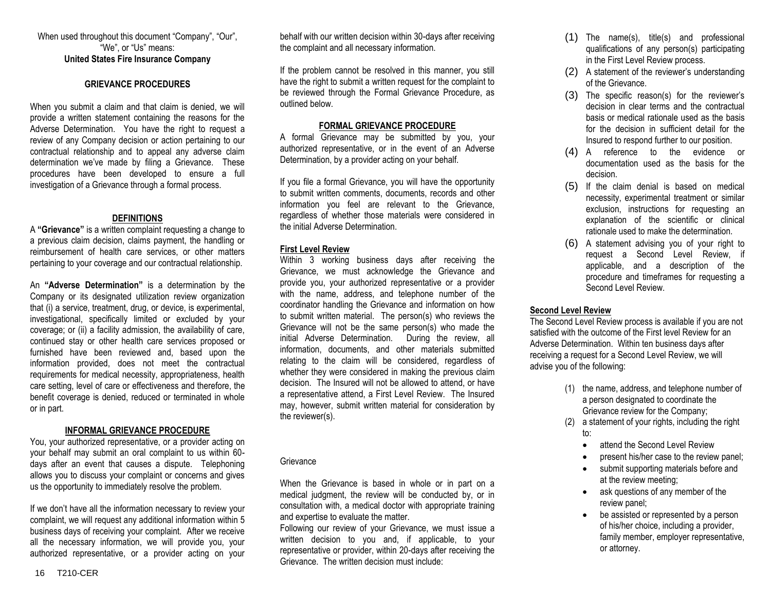When used throughout this document "Company", "Our", "We", or "Us" means: **United States Fire Insurance Company**

#### **GRIEVANCE PROCEDURES**

When you submit a claim and that claim is denied, we will provide a written statement containing the reasons for the Adverse Determination. You have the right to request a review of any Company decision or action pertaining to our contractual relationship and to appeal any adverse claim determination we've made by filing a Grievance. These procedures have been developed to ensure a full investigation of a Grievance through a formal process.

# **DEFINITIONS**

A **"Grievance"** is a written complaint requesting a change to a previous claim decision, claims payment, the handling or reimbursement of health care services, or other matters pertaining to your coverage and our contractual relationship.

An **"Adverse Determination"** is a determination by the Company or its designated utilization review organization that (i) a service, treatment, drug, or device, is experimental, investigational, specifically limited or excluded by your coverage; or (ii) a facility admission, the availability of care, continued stay or other health care services proposed or furnished have been reviewed and, based upon the information provided, does not meet the contractual requirements for medical necessity, appropriateness, health care setting, level of care or effectiveness and therefore, the benefit coverage is denied, reduced or terminated in whole or in part.

#### **INFORMAL GRIEVANCE PROCEDURE**

You, your authorized representative, or a provider acting on your behalf may submit an oral complaint to us within 60 days after an event that causes a dispute. Telephoning allows you to discuss your complaint or concerns and gives us the opportunity to immediately resolve the problem.

If we don't have all the information necessary to review your complaint, we will request any additional information within 5 business days of receiving your complaint. After we receive all the necessary information, we will provide you, your authorized representative, or a provider acting on your

behalf with our written decision within 30-days after receiving the complaint and all necessary information.

If the problem cannot be resolved in this manner, you still have the right to submit a written request for the complaint to be reviewed through the Formal Grievance Procedure, as outlined below.

# **FORMAL GRIEVANCE PROCEDURE**

A formal Grievance may be submitted by you, your authorized representative, or in the event of an Adverse Determination, by a provider acting on your behalf.

If you file a formal Grievance, you will have the opportunity to submit written comments, documents, records and other information you feel are relevant to the Grievance, regardless of whether those materials were considered in the initial Adverse Determination.

# **First Level Review**

Within 3 working business days after receiving the Grievance, we must acknowledge the Grievance and provide you, your authorized representative or a provider with the name, address, and telephone number of the coordinator handling the Grievance and information on how to submit written material. The person(s) who reviews the Grievance will not be the same person(s) who made the initial Adverse Determination. During the review, all information, documents, and other materials submitted relating to the claim will be considered, regardless of whether they were considered in making the previous claim decision. The Insured will not be allowed to attend, or have a representative attend, a First Level Review. The Insured may, however, submit written material for consideration by the reviewer(s).

#### **Grievance**

When the Grievance is based in whole or in part on a medical judgment, the review will be conducted by, or in consultation with, a medical doctor with appropriate training and expertise to evaluate the matter.

Following our review of your Grievance, we must issue a written decision to you and, if applicable, to your representative or provider, within 20-days after receiving the Grievance. The written decision must include:

- (1) The name(s), title(s) and professional qualifications of any person(s) participating in the First Level Review process.
- (2) A statement of the reviewer's understanding of the Grievance.
- (3) The specific reason(s) for the reviewer's decision in clear terms and the contractual basis or medical rationale used as the basis for the decision in sufficient detail for the Insured to respond further to our position.
- (4) A reference to the evidence or documentation used as the basis for the decision.
- (5) If the claim denial is based on medical necessity, experimental treatment or similar exclusion, instructions for requesting an explanation of the scientific or clinical rationale used to make the determination.
- (6) A statement advising you of your right to request a Second Level Review, if applicable, and a description of the procedure and timeframes for requesting a Second Level Review.

# **Second Level Review**

The Second Level Review process is available if you are not satisfied with the outcome of the First level Review for an Adverse Determination. Within ten business days after receiving a request for a Second Level Review, we will advise you of the following:

- (1) the name, address, and telephone number of a person designated to coordinate the Grievance review for the Company;
- (2) a statement of your rights, including the right to:
	- attend the Second Level Review
	- present his/her case to the review panel;
	- submit supporting materials before and at the review meeting;
	- ask questions of any member of the review panel;
	- be assisted or represented by a person of his/her choice, including a provider, family member, employer representative, or attorney.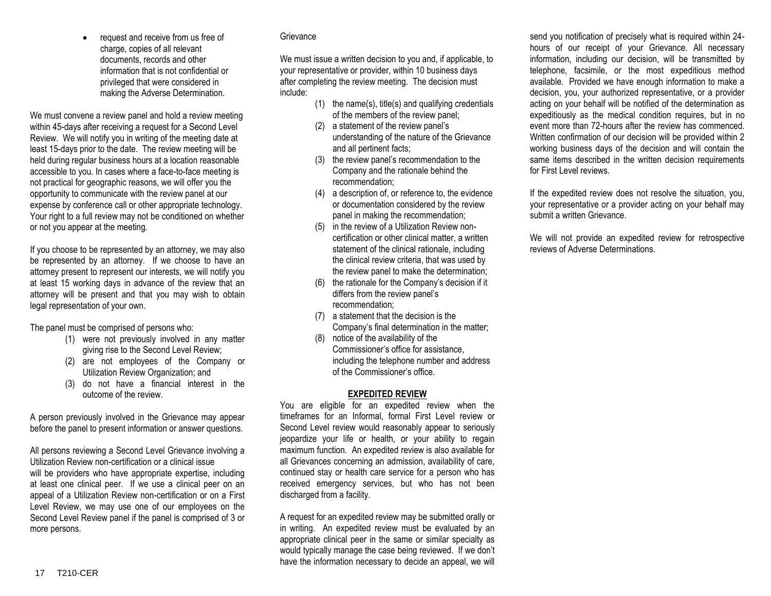request and receive from us free of charge, copies of all relevant documents, records and other information that is not confidential or privileged that were considered in making the Adverse Determination.

We must convene a review panel and hold a review meeting within 45-days after receiving a request for a Second Level Review. We will notify you in writing of the meeting date at least 15-days prior to the date. The review meeting will be held during regular business hours at a location reasonable accessible to you. In cases where a face-to-face meeting is not practical for geographic reasons, we will offer you the opportunity to communicate with the review panel at our expense by conference call or other appropriate technology. Your right to a full review may not be conditioned on whether or not you appear at the meeting.

If you choose to be represented by an attorney, we may also be represented by an attorney. If we choose to have an attorney present to represent our interests, we will notify you at least 15 working days in advance of the review that an attorney will be present and that you may wish to obtain legal representation of your own.

The panel must be comprised of persons who:

- (1) were not previously involved in any matter giving rise to the Second Level Review;
- (2) are not employees of the Company or Utilization Review Organization; and
- (3) do not have a financial interest in the outcome of the review.

A person previously involved in the Grievance may appear before the panel to present information or answer questions.

All persons reviewing a Second Level Grievance involving a Utilization Review non-certification or a clinical issue will be providers who have appropriate expertise, including at least one clinical peer. If we use a clinical peer on an appeal of a Utilization Review non-certification or on a First Level Review, we may use one of our employees on the Second Level Review panel if the panel is comprised of 3 or more persons.

#### **Grievance**

We must issue a written decision to you and, if applicable, to your representative or provider, within 10 business days after completing the review meeting. The decision must include:

- (1) the name(s), title(s) and qualifying credentials of the members of the review panel;
- (2) a statement of the review panel's understanding of the nature of the Grievance and all pertinent facts;
- (3) the review panel's recommendation to the Company and the rationale behind the recommendation;
- (4) a description of, or reference to, the evidence or documentation considered by the review panel in making the recommendation;
- (5) in the review of a Utilization Review noncertification or other clinical matter, a written statement of the clinical rationale, including the clinical review criteria, that was used by the review panel to make the determination;
- (6) the rationale for the Company's decision if it differs from the review panel's recommendation;
- (7) a statement that the decision is the Company's final determination in the matter;
- (8) notice of the availability of the Commissioner's office for assistance, including the telephone number and address of the Commissioner's office.

#### **EXPEDITED REVIEW**

You are eligible for an expedited review when the timeframes for an Informal, formal First Level review or Second Level review would reasonably appear to seriously jeopardize your life or health, or your ability to regain maximum function. An expedited review is also available for all Grievances concerning an admission, availability of care, continued stay or health care service for a person who has received emergency services, but who has not been discharged from a facility.

A request for an expedited review may be submitted orally or in writing. An expedited review must be evaluated by an appropriate clinical peer in the same or similar specialty as would typically manage the case being reviewed. If we don't have the information necessary to decide an appeal, we will

send you notification of precisely what is required within 24 hours of our receipt of your Grievance. All necessary information, including our decision, will be transmitted by telephone, facsimile, or the most expeditious method available. Provided we have enough information to make a decision, you, your authorized representative, or a provider acting on your behalf will be notified of the determination as expeditiously as the medical condition requires, but in no event more than 72-hours after the review has commenced. Written confirmation of our decision will be provided within 2 working business days of the decision and will contain the same items described in the written decision requirements for First Level reviews.

If the expedited review does not resolve the situation, you, your representative or a provider acting on your behalf may submit a written Grievance.

We will not provide an expedited review for retrospective reviews of Adverse Determinations.